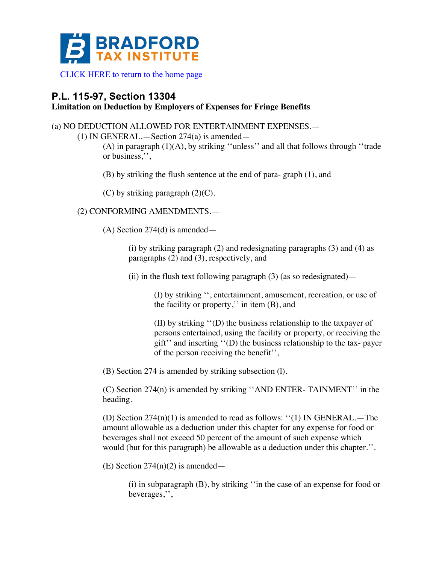

[CLICK HERE to return to the home page](www.bradfordtaxinstitute.com)

## **P.L. 115-97, Section 13304**

## **Limitation on Deduction by Employers of Expenses for Fringe Benefits**

## (a) NO DEDUCTION ALLOWED FOR ENTERTAINMENT EXPENSES.—

(1) IN GENERAL.—Section 274(a) is amended—

(A) in paragraph (1)(A), by striking ''unless'' and all that follows through ''trade or business,'',

(B) by striking the flush sentence at the end of para- graph (1), and

 $(C)$  by striking paragraph  $(2)(C)$ .

(2) CONFORMING AMENDMENTS.—

(A) Section 274(d) is amended—

(i) by striking paragraph (2) and redesignating paragraphs (3) and (4) as paragraphs (2) and (3), respectively, and

(ii) in the flush text following paragraph  $(3)$  (as so redesignated) —

(I) by striking '', entertainment, amusement, recreation, or use of the facility or property,'' in item (B), and

(II) by striking ''(D) the business relationship to the taxpayer of persons entertained, using the facility or property, or receiving the gift'' and inserting ''(D) the business relationship to the tax- payer of the person receiving the benefit'',

(B) Section 274 is amended by striking subsection (l).

(C) Section 274(n) is amended by striking ''AND ENTER- TAINMENT'' in the heading.

(D) Section  $274(n)(1)$  is amended to read as follows: "(1) IN GENERAL.—The amount allowable as a deduction under this chapter for any expense for food or beverages shall not exceed 50 percent of the amount of such expense which would (but for this paragraph) be allowable as a deduction under this chapter.''.

(E) Section  $274(n)(2)$  is amended—

(i) in subparagraph (B), by striking ''in the case of an expense for food or beverages,'',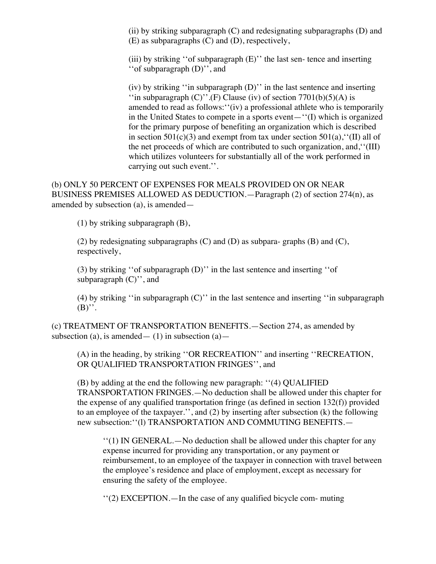(ii) by striking subparagraph  $(C)$  and redesignating subparagraphs  $(D)$  and (E) as subparagraphs (C) and (D), respectively,

(iii) by striking ''of subparagraph (E)'' the last sen- tence and inserting ''of subparagraph (D)'', and

(iv) by striking ''in subparagraph (D)'' in the last sentence and inserting "in subparagraph  $(C)$ ".(F) Clause (iv) of section 7701(b)(5)(A) is amended to read as follows:''(iv) a professional athlete who is temporarily in the United States to compete in a sports event—''(I) which is organized for the primary purpose of benefiting an organization which is described in section  $501(c)(3)$  and exempt from tax under section  $501(a)$ , "(II) all of the net proceeds of which are contributed to such organization, and,''(III) which utilizes volunteers for substantially all of the work performed in carrying out such event.''.

(b) ONLY 50 PERCENT OF EXPENSES FOR MEALS PROVIDED ON OR NEAR BUSINESS PREMISES ALLOWED AS DEDUCTION.—Paragraph (2) of section 274(n), as amended by subsection (a), is amended—

(1) by striking subparagraph (B),

(2) by redesignating subparagraphs  $(C)$  and  $(D)$  as subpara-graphs  $(B)$  and  $(C)$ , respectively,

(3) by striking ''of subparagraph (D)'' in the last sentence and inserting ''of subparagraph  $(C)$ <sup>"</sup>, and

(4) by striking ''in subparagraph (C)'' in the last sentence and inserting ''in subparagraph  $(B)$ ".

(c) TREATMENT OF TRANSPORTATION BENEFITS.—Section 274, as amended by subsection (a), is amended —  $(1)$  in subsection (a) —

(A) in the heading, by striking ''OR RECREATION'' and inserting ''RECREATION, OR QUALIFIED TRANSPORTATION FRINGES'', and

(B) by adding at the end the following new paragraph: ''(4) QUALIFIED TRANSPORTATION FRINGES.—No deduction shall be allowed under this chapter for the expense of any qualified transportation fringe (as defined in section  $132(f)$ ) provided to an employee of the taxpayer.'', and (2) by inserting after subsection (k) the following new subsection:''(l) TRANSPORTATION AND COMMUTING BENEFITS.—

''(1) IN GENERAL.—No deduction shall be allowed under this chapter for any expense incurred for providing any transportation, or any payment or reimbursement, to an employee of the taxpayer in connection with travel between the employee's residence and place of employment, except as necessary for ensuring the safety of the employee.

''(2) EXCEPTION.—In the case of any qualified bicycle com- muting